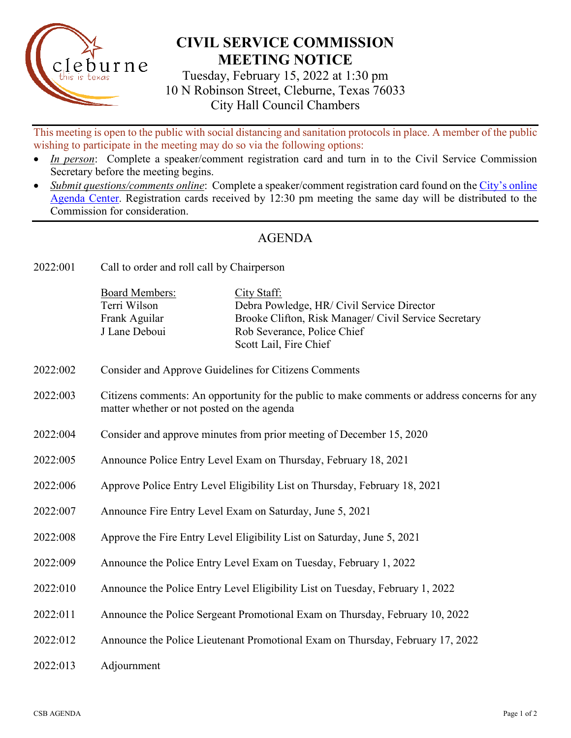

## **CIVIL SERVICE COMMISSION MEETING NOTICE**

Tuesday, February 15, 2022 at 1:30 pm 10 N Robinson Street, Cleburne, Texas 76033 City Hall Council Chambers

This meeting is open to the public with social distancing and sanitation protocols in place. A member of the public wishing to participate in the meeting may do so via the following options:

- *In person*: Complete a speaker/comment registration card and turn in to the Civil Service Commission Secretary before the meeting begins.
- Submit questions/comments online: Complete a speaker/comment registration card found on the [City's online](https://www.cleburne.net/agendacenter) [Agenda Center.](https://www.cleburne.net/agendacenter) Registration cards received by 12:30 pm meeting the same day will be distributed to the Commission for consideration.

## AGENDA

2022:001 Call to order and roll call by Chairperson

| <b>Board Members:</b> | City Staff:                                           |
|-----------------------|-------------------------------------------------------|
| Terri Wilson          | Debra Powledge, HR/ Civil Service Director            |
| Frank Aguilar         | Brooke Clifton, Risk Manager/ Civil Service Secretary |
| J Lane Deboui         | Rob Severance, Police Chief                           |
|                       | Scott Lail, Fire Chief                                |

- 2022:002 Consider and Approve Guidelines for Citizens Comments
- 2022:003 Citizens comments: An opportunity for the public to make comments or address concerns for any matter whether or not posted on the agenda
- 2022:004 Consider and approve minutes from prior meeting of December 15, 2020
- 2022:005 Announce Police Entry Level Exam on Thursday, February 18, 2021
- 2022:006 Approve Police Entry Level Eligibility List on Thursday, February 18, 2021
- 2022:007 Announce Fire Entry Level Exam on Saturday, June 5, 2021
- 2022:008 Approve the Fire Entry Level Eligibility List on Saturday, June 5, 2021
- 2022:009 Announce the Police Entry Level Exam on Tuesday, February 1, 2022
- 2022:010 Announce the Police Entry Level Eligibility List on Tuesday, February 1, 2022
- 2022:011 Announce the Police Sergeant Promotional Exam on Thursday, February 10, 2022
- 2022:012 Announce the Police Lieutenant Promotional Exam on Thursday, February 17, 2022
- 2022:013 Adjournment